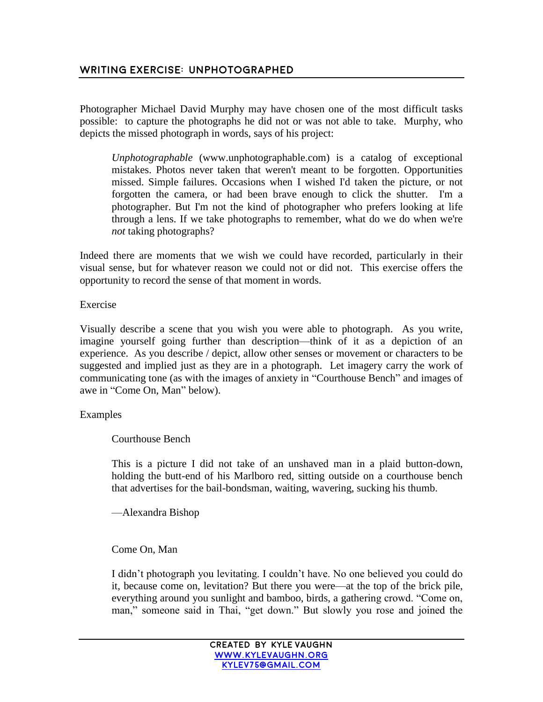## **Writing exercise: Unphotographed**

Photographer Michael David Murphy may have chosen one of the most difficult tasks possible: to capture the photographs he did not or was not able to take. Murphy, who depicts the missed photograph in words, says of his project:

*Unphotographable* (www.unphotographable.com) is a catalog of exceptional mistakes. Photos never taken that weren't meant to be forgotten. Opportunities missed. Simple failures. Occasions when I wished I'd taken the picture, or not forgotten the camera, or had been brave enough to click the shutter. I'm a photographer. But I'm not the kind of photographer who prefers looking at life through a lens. If we take photographs to remember, what do we do when we're *not* taking photographs?

Indeed there are moments that we wish we could have recorded, particularly in their visual sense, but for whatever reason we could not or did not. This exercise offers the opportunity to record the sense of that moment in words.

## Exercise

Visually describe a scene that you wish you were able to photograph. As you write, imagine yourself going further than description—think of it as a depiction of an experience. As you describe / depict, allow other senses or movement or characters to be suggested and implied just as they are in a photograph. Let imagery carry the work of communicating tone (as with the images of anxiety in "Courthouse Bench" and images of awe in "Come On, Man" below).

## Examples

Courthouse Bench

This is a picture I did not take of an unshaved man in a plaid button-down, holding the butt-end of his Marlboro red, sitting outside on a courthouse bench that advertises for the bail-bondsman, waiting, wavering, sucking his thumb.

—Alexandra Bishop

## Come On, Man

I didn't photograph you levitating. I couldn't have. No one believed you could do it, because come on, levitation? But there you were—at the top of the brick pile, everything around you sunlight and bamboo, birds, a gathering crowd. "Come on, man," someone said in Thai, "get down." But slowly you rose and joined the